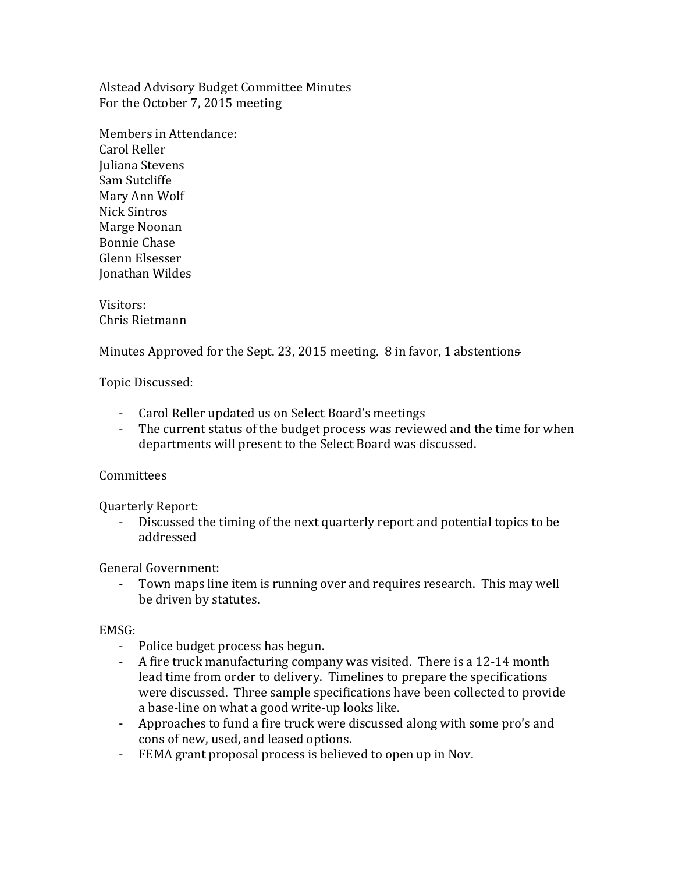Alstead Advisory Budget Committee Minutes For the October 7, 2015 meeting

Members in Attendance: Carol Reller Juliana Stevens Sam Sutcliffe Mary Ann Wolf Nick Sintros Marge Noonan Bonnie Chase Glenn Elsesser Jonathan Wildes

Visitors: Chris Rietmann

Minutes Approved for the Sept. 23, 2015 meeting. 8 in favor, 1 abstentions

Topic Discussed:

- Carol Reller updated us on Select Board's meetings
- The current status of the budget process was reviewed and the time for when departments will present to the Select Board was discussed.

# Committees

Quarterly Report:

Discussed the timing of the next quarterly report and potential topics to be addressed

# General Government:

- Town maps line item is running over and requires research. This may well be driven by statutes.

# EMSG:

- Police budget process has begun.
- A fire truck manufacturing company was visited. There is a 12-14 month lead time from order to delivery. Timelines to prepare the specifications were discussed. Three sample specifications have been collected to provide a base-line on what a good write-up looks like.
- Approaches to fund a fire truck were discussed along with some pro's and cons of new, used, and leased options.
- FEMA grant proposal process is believed to open up in Nov.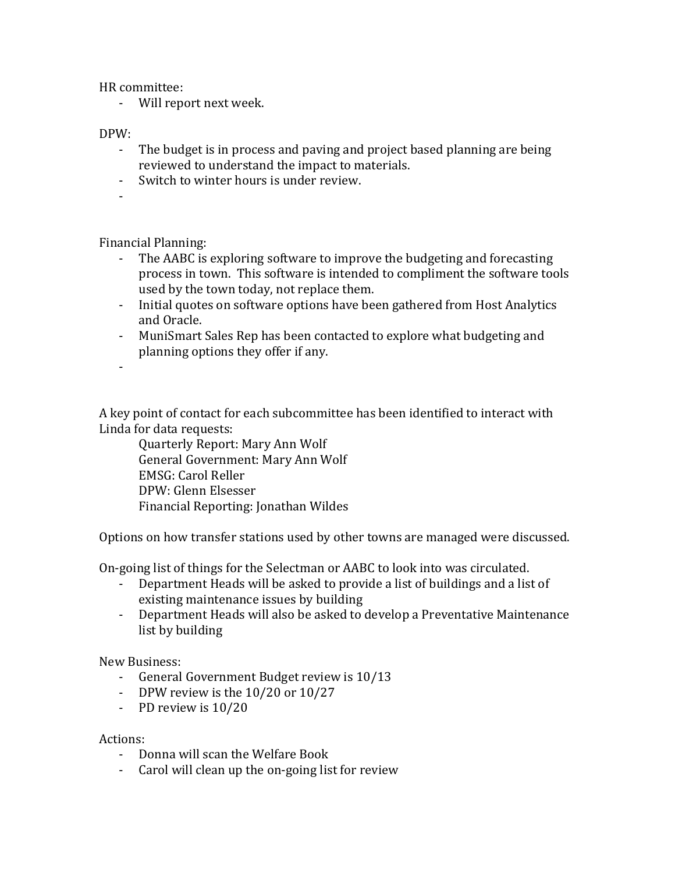HR committee:

- Will report next week.

## DPW:

- The budget is in process and paving and project based planning are being reviewed to understand the impact to materials.
- Switch to winter hours is under review.
- -

Financial Planning:

- The AABC is exploring software to improve the budgeting and forecasting process in town. This software is intended to compliment the software tools used by the town today, not replace them.
- Initial quotes on software options have been gathered from Host Analytics and Oracle.
- MuniSmart Sales Rep has been contacted to explore what budgeting and planning options they offer if any.
- -

A key point of contact for each subcommittee has been identified to interact with Linda for data requests:

Quarterly Report: Mary Ann Wolf General Government: Mary Ann Wolf EMSG: Carol Reller DPW: Glenn Elsesser Financial Reporting: Jonathan Wildes

Options on how transfer stations used by other towns are managed were discussed.

On-going list of things for the Selectman or AABC to look into was circulated.

- Department Heads will be asked to provide a list of buildings and a list of existing maintenance issues by building
- Department Heads will also be asked to develop a Preventative Maintenance list by building

New Business:

- General Government Budget review is 10/13
- DPW review is the 10/20 or 10/27
- PD review is 10/20

## Actions:

- Donna will scan the Welfare Book
- Carol will clean up the on-going list for review